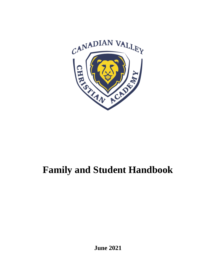

# **Family and Student Handbook**

**June 2021**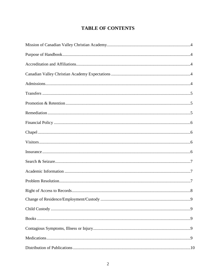# **TABLE OF CONTENTS**

| 9. |
|----|
|    |
|    |
|    |
|    |
|    |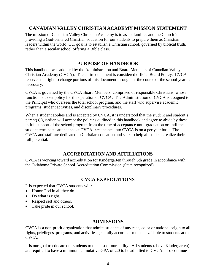# **CANADIAN VALLEY CHRISTIAN ACADEMY MISSION STATEMENT**

The mission of Canadian Valley Christian Academy is to assist families and the Church in providing a God-centered Christian education for our students to prepare them as Christian leaders within the world. Our goal is to establish a Christian school, governed by biblical truth, rather than a secular school offering a Bible class.

# **PURPOSE OF HANDBOOK**

This handbook was adopted by the Administration and Board Members of Canadian Valley Christian Academy (CVCA). The entire document is considered official Board Policy. CVCA reserves the right to change portions of this document throughout the course of the school year as necessary.

CVCA is governed by the CVCA Board Members, comprised of responsible Christians, whose function is to set policy for the operation of CVCA. The Administration of CVCA is assigned to the Principal who oversees the total school program, and the staff who supervise academic programs, student activities, and disciplinary procedures.

When a student applies and is accepted by CVCA, it is understood that the student and student's parent(s)/guardian will accept the policies outlined in this handbook and agree to abide by these in full support of the school program from the time of acceptance until graduation or until the student terminates attendance at CVCA. Acceptance into CVCA is on a per year basis. The CVCA and staff are dedicated to Christian education and seek to help all students realize their full potential.

# **ACCREDITATION AND AFFILIATIONS**

CVCA is working toward accreditation for Kindergarten through 5th grade in accordance with the Oklahoma Private School Accreditation Commission (State recognized).

# **CVCA EXPECTATIONS**

It is expected that CVCA students will:

- Honor God in all they do.
- Do what is right.
- Respect self and others.
- Take pride in our school.

# **ADMISSIONS**

CVCA is a non-profit organization that admits students of any race, color or national origin to all rights, privileges, programs, and activities generally accorded or made available to students at the CVCA.

It is our goal to educate our students to the best of our ability. All students (above Kindergarten) are required to have a minimum cumulative GPA of 2.0 to be admitted to CVCA. To continue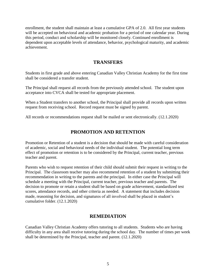enrollment, the student shall maintain at least a cumulative GPA of 2.0. All first year students will be accepted on behavioral and academic probation for a period of one calendar year. During this period, conduct and scholarship will be monitored closely. Continued enrollment is dependent upon acceptable levels of attendance, behavior, psychological maturity, and academic achievement.

## **TRANSFERS**

Students in first grade and above entering Canadian Valley Christian Academy for the first time shall be considered a transfer student.

The Principal shall request all records from the previously attended school. The student upon acceptance into CVCA shall be tested for appropriate placement.

When a Student transfers to another school, the Principal shall provide all records upon written request from receiving school. Record request must be signed by parent.

All records or recommendations request shall be mailed or sent electronically. (12.1.2020)

## **PROMOTION AND RETENTION**

Promotion or Retention of a student is a decision that should be made with careful consideration of academic, social and behavioral needs of the individual student. The potential long term effect of promotion or retention is to be considered by the Principal, current teacher, previous teacher and parent.

Parents who wish to request retention of their child should submit their request in writing to the Principal. The classroom teacher may also recommend retention of a student by submitting their recommendation in writing to the parents and the principal. In either case the Principal will schedule a meeting with the Principal, current teacher, previous teacher and parents. The decision to promote or retain a student shall be based on grade achievement, standardized test scores, attendance records, and other criteria as needed. A statement that includes decision made, reasoning for decision, and signatures of all involved shall be placed in student's cumulative folder. (12.1.2020)

#### **REMEDIATION**

Canadian Valley Christian Academy offers tutoring to all students. Students who are having difficulty in any area shall receive tutoring during the school day. The number of times per week shall be determined by the Principal, teacher and parent. (12.1.2020)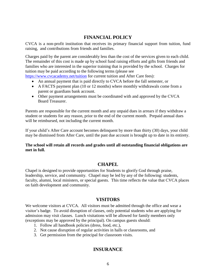# **FINANCIAL POLICY**

CVCA is a non-profit institution that receives its primary financial support from tuition, fund raising, and contributions from friends and families.

Charges paid by the parent are considerably less than the cost of the services given to each child. The remainder of this cost is made up by school fund raising efforts and gifts from friends and families who are interested in the superior training that is provided by the school. Charges for tuition may be paid according to the following terms (please see

<https://www.cvcacademy.net/tuition> for current tuition and After Care fees):

- An annual payment that is paid directly to CVCA before the fall semester, or
- A FACTS payment plan (10 or 12 months) where monthly withdrawals come from a parent or guardians bank account.
- Other payment arrangements must be coordinated with and approved by the CVCA Board Treasurer.

Parents are responsible for the current month and any unpaid dues in arrears if they withdraw a student or students for any reason, prior to the end of the current month. Prepaid annual dues will be reimbursed, not including the current month.

If your child's After Care account becomes delinquent by more than thirty (30) days, your child may be dismissed from After Care, until the past due account is brought up to date in its entirety.

**The school will retain all records and grades until all outstanding financial obligations are met in full.**

# **CHAPEL**

Chapel is designed to provide opportunities for Students to glorify God through praise, leadership, service, and community. Chapel may be led by any of the following: students, faculty, alumni, local ministers, or special guests. This time reflects the value that CVCA places on faith development and community.

## **VISITORS**

We welcome visitors at CVCA. All visitors must be admitted through the office and wear a visitor's badge. To avoid disruption of classes, only potential students who are applying for admission may visit classes. Lunch visitations will be allowed for family members only (exceptions may be approved by the principal). On campus guests should:

- 1. Follow all handbook policies (dress, food, etc.),
- 2. Not cause disruption of regular activities in halls or classrooms, and
- 3. Get permission from the principal for classroom visits.

# **INSURANCE**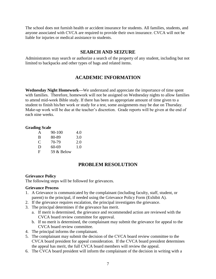The school does not furnish health or accident insurance for students. All families, students, and anyone associated with CVCA are required to provide their own insurance. CVCA will not be liable for injuries or medical assistance to students.

## **SEARCH AND SEIZURE**

Administrators may search or authorize a search of the property of any student, including but not limited to backpacks and other types of bags and related items.

## **ACADEMIC INFORMATION**

**Wednesday Night Homework—**We understand and appreciate the importance of time spent with families. Therefore, homework will not be assigned on Wednesday nights to allow families to attend mid-week Bible study. If there has been an appropriate amount of time given to a student to finish his/her work or study for a test, some assignments may be due on Thursday. Make-up work will be due at the teacher's discretion. Grade reports will be given at the end of each nine weeks.

#### **Grading Scale**

| A | $90 - 100$ | 4.0 |
|---|------------|-----|
| B | 80-89      | 3.0 |
| C | 70-79      | 2.0 |
| D | 60-69      | 1.0 |
| F | 59 & Below |     |

# **PROBLEM RESOLUTION**

#### **Grievance Policy**

The following steps will be followed for grievances.

#### **Grievance Process**

- 1. A Grievance is communicated by the complainant (including faculty, staff, student, or parent) to the principal, if needed using the Grievance Policy Form (Exhibit A).
- 2. If the grievance requires escalation, the principal investigates the grievance.
- 3. The principal determines if the grievance has merit.
	- a. If merit is determined, the grievance and recommended action are reviewed with the CVCA board review committee for approval.
	- b. If no merit is determined, the complainant may submit the grievance for appeal to the CVCA board review committee.
- 4. The principal informs the complainant.
- 5. The complainant may submit the decision of the CVCA board review committee to the CVCA board president for appeal consideration. If the CVCA board president determines the appeal has merit, the full CVCA board members will review the appeal.
- 6. The CVCA board president will inform the complainant of the decision in writing with a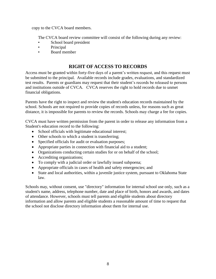copy to the CVCA board members.

The CVCA board review committee will consist of the following during any review:

- School board president
- Principal
- Board member

# **RIGHT OF ACCESS TO RECORDS**

Access must be granted within forty-five days of a parent's written request, and this request must be submitted to the principal. Available records include grades, evaluations, and standardized test results. Parents or guardians may request that their student's records be released to persons and institutions outside of CVCA. CVCA reserves the right to hold records due to unmet financial obligations.

Parents have the right to inspect and review the student's education records maintained by the school. Schools are not required to provide copies of records unless, for reasons such as great distance, it is impossible for parents to review the records. Schools may charge a fee for copies.

CVCA must have written permission from the parent in order to release any information from a Student's education record to the following:

- School officials with legitimate educational interest;
- Other schools to which a student is transferring:
- Specified officials for audit or evaluation purposes;
- Appropriate parties in connection with financial aid to a student;
- Organizations conducting certain studies for or on behalf of the school;
- Accrediting organizations;
- To comply with a judicial order or lawfully issued subpoena;
- Appropriate officials in cases of health and safety emergencies; and
- State and local authorities, within a juvenile justice system, pursuant to Oklahoma State law.

Schools may, without consent, use "directory" information for internal school use only, such as a student's name, address, telephone number, date and place of birth, honors and awards, and dates of attendance. However, schools must tell parents and eligible students about directory information and allow parents and eligible students a reasonable amount of time to request that the school not disclose directory information about them for internal use.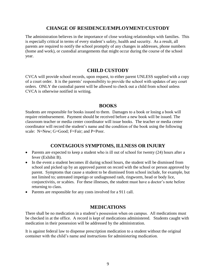## **CHANGE OF RESIDENCE/EMPLOYMENT/CUSTODY**

The administration believes in the importance of close working relationships with families. This is especially critical in terms of every student's safety, health and security. As a result, all parents are required to notify the school promptly of any changes in addresses, phone numbers (home and work), or custodial arrangements that might occur during the course of the school year.

### **CHILD CUSTODY**

CVCA will provide school records, upon request, to either parent UNLESS supplied with a copy of a court order. It is the parents' responsibility to provide the school with updates of any court orders. ONLY the custodial parent will be allowed to check out a child from school unless CVCA is otherwise notified in writing.

#### **BOOKS**

Students are responsible for books issued to them. Damages to a book or losing a book will require reimbursement. Payment should be received before a new book will be issued. The classroom teacher or media center coordinator will issue books. The teacher or media center coordinator will record the student's name and the condition of the book using the following scale: N=New; G=Good; F=Fair; and P=Poor.

## **CONTAGIOUS SYMPTOMS, ILLNESS OR INJURY**

- Parents are expected to keep a student who is ill out of school for twenty (24) hours after a fever (Exhibit B).
- In the event a student becomes ill during school hours, the student will be dismissed from school and picked up by an approved parent on record with the school or person approved by parent. Symptoms that cause a student to be dismissed from school include, for example, but not limited to; untreated impetigo or undiagnosed rash, ringworm, head or body lice, conjunctivitis, or scabies. For these illnesses, the student must have a doctor's note before returning to class.
- Parents are responsible for any costs involved for a 911 call.

#### **MEDICATIONS**

There shall be no medication in a student's possession when on campus. All medications must be checked in at the office. A record is kept of medications administered. Students caught with medication in their possession will be addressed by the administration.

It is against federal law to dispense prescription medication to a student without the original container with the child's name and instructions for administering medication.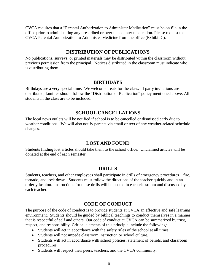CVCA requires that a "Parental Authorization to Administer Medication" must be on file in the office prior to administering any prescribed or over the counter medication. Please request the CVCA Parental Authorization to Administer Medicine from the office (Exhibit C).

## **DISTRIBUTION OF PUBLICATIONS**

No publications, surveys, or printed materials may be distributed within the classroom without previous permission from the principal. Notices distributed in the classroom must indicate who is distributing them.

### **BIRTHDAYS**

Birthdays are a very special time. We welcome treats for the class. If party invitations are distributed, families should follow the "Distribution of Publication" policy mentioned above. All students in the class are to be included.

## **SCHOOL CANCELLATIONS**

The local news outlets will be notified if school is to be cancelled or dismissed early due to weather conditions. We will also notify parents via email or text of any weather-related schedule changes.

## **LOST AND FOUND**

Students finding lost articles should take them to the school office. Unclaimed articles will be donated at the end of each semester.

## **DRILLS**

Students, teachers, and other employees shall participate in drills of emergency procedures—fire, tornado, and lock down. Students must follow the directions of the teacher quickly and in an orderly fashion. Instructions for these drills will be posted in each classroom and discussed by each teacher.

# **CODE OF CONDUCT**

The purpose of the code of conduct is to provide students at CVCA an effective and safe learning environment. Students should be guided by biblical teachings to conduct themselves in a manner that is respectful of self and others. Our code of conduct at CVCA can be summarized by trust, respect, and responsibility. Critical elements of this principle include the following:

- Students will act in accordance with the safety rules of the school at all times.
- Students will not impede classroom instruction or school culture.
- Students will act in accordance with school policies, statement of beliefs, and classroom procedures.
- Students will respect their peers, teachers, and the CVCA community.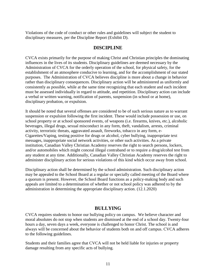Violations of the code of conduct or other rules and guidelines will subject the student to disciplinary measures, per the Discipline Report (Exhibit D).

## **DISCIPLINE**

CVCA exists primarily for the purpose of making Christ and Christian principles the dominating influences in the lives of its students. Disciplinary guidelines are deemed necessary by the Administration of CVCA for the orderly operation of the school, for physical safety, for the establishment of an atmosphere conducive to learning, and for the accomplishment of our stated purposes. The Administration of CVCA believes discipline is more about a change in behavior rather than disciplinary consequences. Disciplinary action will be administered as uniformly and consistently as possible, while at the same time recognizing that each student and each incident must be assessed individually in regard to attitude, and repetition. Disciplinary action can include a verbal or written warning, notification of parents, suspension (in school or at home), disciplinary probation, or expulsion.

It should be noted that several offenses are considered to be of such serious nature as to warrant suspension or expulsion following the first incident. These would include possession or use, on school property or at school sponsored events, of weapons (i.e. firearms, knives, etc.), alcoholic beverages, illegal drugs, sexual misconduct in any form, theft, vandalism, arrests, criminal activity, terroristic threats, aggravated assault, fireworks, tobacco in any form, e-Cigarettes/Vaping, testing positive for drugs or alcohol, cyber bullying, inappropriate text messages, inappropriate social network activities, or other such activities. As a private institution, Canadian Valley Christian Academy reserves the right to search persons, lockers, and/or automobiles which might conceal illegal contraband or to require a drug/alcohol test from any student at any time. Additionally, Canadian Valley Christian Academy reserves the right to administer disciplinary action for serious violations of this kind which occur away from school.

Disciplinary action shall be determined by the school administration. Such disciplinary action may be appealed to the School Board at a regular or specially called meeting of the Board where a quorum is present. However, the School Board functions as a policy-making body and such appeals are limited to a determination of whether or not school policy was adhered to by the administration in determining the appropriate disciplinary action. (12.1.2020)

## **BULLYING**

CVCA requires students to honor our bullying policy on campus. We believe character and moral absolutes do not stop when students are dismissed at the end of a school day. Twenty-four hours a day, seven days a week, everyone is challenged to honor Christ. The school is and always will be concerned about the behavior of students both on and off campus. CVCA adheres to the following guidelines.

Students and their families agree that CVCA will not be held liable for injuries or property damage resulting from any specific acts of bullying.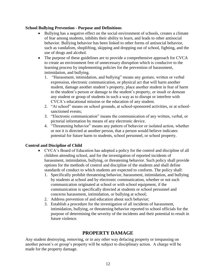#### **School Bullying Prevention - Purpose and Definitions**

- Bullying has a negative effect on the social environment of schools, creates a climate of fear among students, inhibits their ability to learn, and leads to other antisocial behavior. Bullying behavior has been linked to other forms of antisocial behavior, such as vandalism, shoplifting, skipping and dropping out of school, fighting, and the use of drugs and alcohol.
- The purpose of these guidelines are to provide a comprehensive approach for CVCA to create an environment free of unnecessary disruption which is conducive to the learning process by implementing policies for the prevention of harassment, intimidation, and bullying.
	- 1. "Harassment, intimidation, and bullying" means any gesture, written or verbal expression, electronic communication, or physical act that will harm another student, damage another student's property, place another student in fear of harm to the student's person or damage to the student's property, or insult or demean any student or group of students in such a way as to disrupt or interfere with CVCA's educational mission or the education of any student.
	- 2. "At school" means on school grounds, at school-sponsored activities, or at schoolsanctioned events;
	- 3. "Electronic communication" means the communication of any written, verbal, or pictorial information by means of any electronic device.
	- 4. "Threatening behavior" means any pattern of behavior or isolated action, whether or not it is directed at another person, that a person would believe indicates potential for future harm to students, school personnel, or school property.

#### **Control and Discipline of Child**

- CVCA's Board of Education has adopted a policy for the control and discipline of all children attending school, and for the investigation of reported incidents of harassment, intimidation, bullying, or threatening behavior. Such policy shall provide options for the methods of control and discipline of the students and shall define standards of conduct to which students are expected to conform. The policy shall:
	- 1. Specifically prohibit threatening behavior, harassment, intimidation, and bullying by students at school and by electronic communication, whether or not such communication originated at school or with school equipment, if the communication is specifically directed at students or school personnel and concerns harassment, intimidation, or bullying at school;
	- 2. Address prevention of and education about such behavior;
	- 3. Establish a procedure for the investigation of all incidents of harassment, intimidation, bullying, or threatening behavior reported to school officials for the purpose of determining the severity of the incidents and their potential to result in future violence.

# **PROPERTY DAMAGE**

Any student destroying, removing, or in any other way defacing property or trespassing on another person's or group's property will be subject to disciplinary action. A charge will be made for the property damage.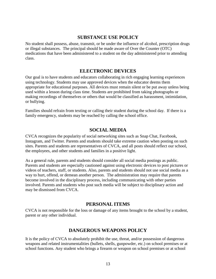## **SUBSTANCE USE POLICY**

No student shall possess, abuse, transmit, or be under the influence of alcohol, prescription drugs or illegal substances. The principal should be made aware of Over the Counter (OTC) medications that have been administered to a student on the day administered prior to attending class.

## **ELECTRONIC DEVICES**

Our goal is to have students and educators collaborating in rich engaging learning experiences using technology. Students may use approved devices when the educator deems them appropriate for educational purposes. All devices must remain silent or be put away unless being used within a lesson during class time. Students are prohibited from taking photographs or making recordings of themselves or others that would be classified as harassment, intimidation, or bullying.

Families should refrain from texting or calling their student during the school day. If there is a family emergency, students may be reached by calling the school office.

### **SOCIAL MEDIA**

CVCA recognizes the popularity of social networking sites such as Snap Chat, Facebook, Instagram, and Twitter. Parents and students should take extreme caution when posting on such sites. Parents and students are representatives of CVCA, and all posts should reflect our school, the employees, and other students and families in a positive light.

As a general rule, parents and students should consider all social media postings as public. Parents and students are especially cautioned against using electronic devices to post pictures or videos of teachers, staff, or students. Also, parents and students should not use social media as a way to hurt, offend, or demean another person. The administration may require that parents become involved in the disciplinary process, including communicating with other parties involved. Parents and students who post such media will be subject to disciplinary action and may be dismissed from CVCA.

# **PERSONAL ITEMS**

CVCA is not responsible for the loss or damage of any items brought to the school by a student, parent or any other individual.

# **DANGEROUS WEAPONS POLICY**

It is the policy of CVCA to absolutely prohibit the use, threat, and/or possession of dangerous weapons and related instrumentalities (bullets, shells, gunpowder, etc.) on school premises or at school functions. Any student who brings a firearm or weapon on school premises or at school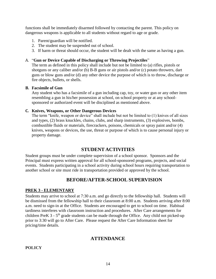functions shall be immediately disarmed followed by contacting the parent. This policy on dangerous weapons is applicable to all students without regard to age or grade.

- 1. Parent/guardian will be notified.
- 2. The student may be suspended out of school.
- 3. If harm or threat should occur, the student will be dealt with the same as having a gun.

#### A. "**Gun or Device Capable of Discharging or Throwing Projectiles**"

The term as defined in this policy shall include but not be limited to (a) rifles, pistols or shotguns or any caliber and/or (b) B-B guns or air pistols and/or (c) potato throwers, dart guns or blow guns and/or (d) any other device the purpose of which is to throw, discharge or fire objects, bullets, or shells.

#### **B. Facsimile of Gun**

Any student who has a facsimile of a gun including cap, toy, or water gun or any other item resembling a gun in his/her possession at school, on school property or at any schoolsponsored or authorized event will be disciplined as mentioned above.

#### **C. Knives, Weapons, or Other Dangerous Devices**

The term "knife, weapon or device" shall include but not be limited to (1) knives of all sizes and types, (2) brass knuckles, chains, clubs, and sharp instruments, (3) explosives, bombs, combustible fluids or materials, firecrackers, poisons, chemicals or spray paint and/or (4) knives, weapons or devices, the use, threat or purpose of which is to cause personal injury or property damage.

# **STUDENT ACTIVITIES**

Student groups must be under complete supervision of a school sponsor. Sponsors and the Principal must express written approval for all school-sponsored programs, projects, and social events. Students participating in a school activity during school hours requiring transportation to another school or site must ride in transportation provided or approved by the school.

# **BEFORE/AFTER-SCHOOL SUPERVISION**

#### **PREK 3 - ELEMENTARY**

Students may arrive to school at 7:30 a.m. and go directly to the fellowship hall. Students will be dismissed from the fellowship hall to their classroom at 8:00 a.m. Students arriving after 8:00 a.m. need to sign-in at the Office. Students are encouraged to get to school on time. Habitual tardiness interferes with classroom instruction and procedures. After Care arrangements for children PreK  $3 - 5$ <sup>th</sup> grade students can be made through the Office. Any child not picked-up prior to 3:30 will go to After Care. Please request the After Care Information sheet for pricing/time details.

## **ATTENDANCE**

#### **POLICY**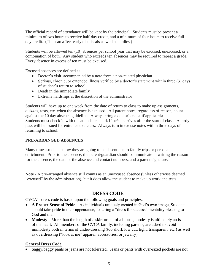The official record of attendance will be kept by the principal. Students must be present a minimum of two hours to receive half-day credit, and a minimum of four hours to receive fullday credit. (This can affect early dismissals as well as tardies.)

Students will be allowed ten (10) absences per school year that may be excused, unexcused, or a combination of both. Any student who exceeds ten absences may be required to repeat a grade. Every absence in excess of ten must be excused.

Excused absences are defined as:

- Doctor's visit, accompanied by a note from a non-related physician
- Serious, chronic, or extended illness verified by a doctor's statement within three (3) days of student's return to school
- Death in the immediate family
- Extreme hardships at the discretion of the administrator

Students will have up to one week from the date of return to class to make up assignments, quizzes, tests, etc. when the absence is excused. All parent notes, regardless of reason, count against the 10 day absence guideline. Always bring a doctor's note, if applicable. Students must check in with the attendance clerk if he/she arrives after the start of class. A tardy pass will be issued for entrance to a class. Always turn in excuse notes within three days of returning to school.

#### **PRE-ARRANGED ABSENCES**

Many times students know they are going to be absent due to family trips or personal enrichment. Prior to the absence, the parent/guardian should communicate in writing the reason for the absence, the date of the absence and contact numbers, and a parent signature.

**Note** - A pre-arranged absence still counts as an unexcused absence (unless otherwise deemed "excused" by the administration), but it does allow the student to make up work and tests.

# **DRESS CODE**

CVCA's dress code is based upon the following goals and principles:

- **A Proper Sense of Pride**—As individuals uniquely created in God's own image, Students should take pride in their appearance, fostering a "dress for success" mentality pleasing to God and man.
- **Modesty**—More than the length of a skirt or cut of a blouse, modesty is ultimately an issue of the heart. All members of the CVCA family, including parents, are asked to avoid immodesty both in terms of under-dressing (too short, low cut, tight, transparent, etc.) as well as overdressing ("look at me" apparel, accessories, or jewelry).

#### **General Dress Code**

Saggy/baggy pants or jeans are not tolerated. Jeans or pants with over-sized pockets are not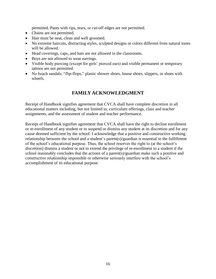permitted. Pants with rips, tears, or cut-off edges are not permitted.

- Chains are not permitted.
- Hair must be neat, clean and well groomed.
- No extreme haircuts, distracting styles, sculpted designs or colors different from natural tones will be allowed.
- Head coverings, caps, and hats are not allowed in the classrooms.
- Boys are not allowed to wear earrings.
- Visible body piercing (except for girls' pierced ears) and visible permanent or temporary tattoos are not permitted.
- No beach sandals, "flip-flops," plastic shower shoes, house shoes, slippers, or shoes with wheels.

# **FAMILY ACKNOWLEDGMENT**

Receipt of Handbook signifies agreement that CVCA shall have complete discretion in all educational matters including, but not limited to, curriculum offerings, class and teacher assignments, and the assessment of student and teacher performance.

Receipt of Handbook signifies agreement that CVCA shall have the right to decline enrollment or re-enrollment of any student or to suspend or dismiss any student at its discretion and for any cause deemed sufficient by the school. I acknowledge that a positive and constructive working relationship between the school and a student's parent(s)/guardian is essential to the fulfillment of the school's educational purpose. Thus, the school reserves the right to (at the school's discretion) dismiss a student or not to extend the privilege of re-enrollment to a student if the school reasonably concludes that the actions of a parent(s)/guardian make such a positive and constructive relationship impossible or otherwise seriously interfere with the school's accomplishment of its educational purpose.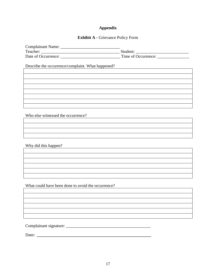## **Appendix**

## **Exhibit A -** Grievance Policy Form

| <b>Complainant Name:</b> |                     |
|--------------------------|---------------------|
| Teacher:                 | Student:            |
| Date of Occurrence:      | Time of Occurrence: |

Describe the occurrence/complaint. What happened?

Who else witnessed the occurrence?

Why did this happen?

What could have been done to avoid the occurrence?

Complainant signature: \_\_\_\_\_\_\_\_\_\_\_\_\_\_\_\_\_\_\_\_\_\_\_\_\_\_\_\_\_\_\_\_\_\_\_\_\_\_\_\_

Date**: \_\_\_\_\_\_\_\_\_\_\_\_\_\_\_\_\_\_\_\_\_\_\_\_\_\_\_\_\_\_\_\_\_\_\_\_\_\_\_\_\_\_\_\_\_\_\_\_\_\_\_\_\_\_**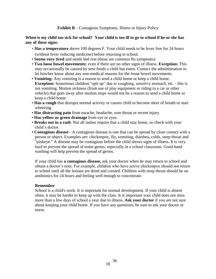**Exhibit B** – Contagious Symptoms, Illness or Injury Policy

**When is my child too sick for school? Your child is too ill to go to school if he or she has any of these signs:** 

- **Has a temperature** above 100 degrees F. Your child needs to be fever free for 24 hours (without fever reducing medicine) before returning to school.
- **Seems very tired** and needs bed rest (these are common flu symptoms)
- **Two loose bowel movements:** even if there are no other signs of illness. **Exception:** This may occasionally be caused by new foods a child has eaten. Contact the administration to let him/her know about any non-medical reasons for the loose bowel movements.
- **Vomiting:** Any vomiting is a reason to send a child home or keep a child home. **Exception:** Sometimes children "spit up" due to coughing, sensitive stomach, etc. - this is not vomiting. Motion sickness (from use of play equipment or riding in a car or other vehicle) that goes away after motion stops would not be a reason to send a child home or keep a child home.
- **Has a cough** that disrupts normal activity or causes child to become short of breath or start wheezing.
- **Has distracting pain** from earache, headache, sore throat or recent injury
- **Has yellow or green drainage** from eye or eyes.
- **Breaks out in a rash**. Not all rashes require that a child stay home, so check with your child's doctor.
- **Contagious disease** A contagious disease is one that can be spread by close contact with a person or object. Examples are: chickenpox, flu, vomiting, diarrhea, colds, strep throat and "pinkeye." A disease may be contagious before the child shows signs of illness. It is very hard to prevent the spread of some germs, especially in a school classroom. Good hand washing will help prevent the spread of germs.

If your child has **a contagious disease,** ask your doctor when he may return to school and obtain a doctor's note. For example, children who have active chickenpox should not return to school until all the lesions are dried and crusted. Children with strep throat should be on antibiotics for 24 hours and feeling well enough to concentrate.

#### **Remember**

School is a child's work. It is important for normal development. If your child is absent often, it may be harder to keep up with the class. It is important your child does not miss more than a few days of school a year due to illness. **Ask your doctor** if you are not sure about keeping your child home. If you have any questions, be sure to ask your doctor or nurse.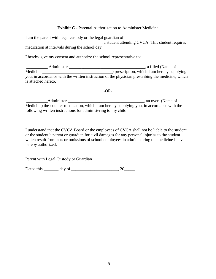#### **Exhibit C** - Parental Authorization to Administer Medicine

I am the parent with legal custody or the legal guardian of \_\_\_\_\_\_\_\_\_\_\_\_\_\_\_\_\_\_\_\_\_\_\_\_\_\_\_\_\_\_\_\_\_\_\_\_, a student attending CVCA. This student requires medication at intervals during the school day.

I hereby give my consent and authorize the school representative to:

\_\_\_\_\_\_\_\_\_\_ Administer \_\_\_\_\_\_\_\_\_\_\_\_\_\_\_\_\_\_\_\_\_\_\_\_\_\_\_\_\_\_\_\_\_\_\_\_, a filled (Name of Medicine \_\_\_\_\_\_\_\_\_\_\_\_\_\_\_\_\_\_\_\_\_\_\_\_\_\_\_\_\_\_\_\_\_) prescription, which I am hereby supplying you, in accordance with the written instruction of the physician prescribing the medicine, which is attached hereto.

-OR-

\_\_\_\_\_\_\_\_\_\_\_\_\_\_\_\_\_\_\_\_\_\_\_\_\_\_\_\_\_\_\_\_\_\_\_\_\_\_\_\_\_\_\_\_\_\_\_\_\_\_\_\_\_\_\_\_\_\_\_\_\_\_\_\_\_\_\_\_\_\_\_\_\_\_\_\_\_\_ \_\_\_\_\_\_\_\_\_\_\_\_\_\_\_\_\_\_\_ \_\_\_\_\_\_\_\_\_\_\_\_\_\_\_\_\_\_\_\_\_\_\_\_\_\_\_\_\_\_\_\_\_\_\_\_\_\_\_\_\_\_\_\_\_\_\_\_\_\_\_\_\_\_\_\_\_\_

\_\_\_\_\_\_\_\_\_\_Administer \_\_\_\_\_\_\_\_\_\_\_\_\_\_\_\_\_\_\_\_\_\_\_\_\_\_\_\_\_\_\_\_\_\_\_\_, an over- (Name of Medicine) the-counter medication, which I am hereby supplying you, in accordance with the following written instructions for administering to my child:

I understand that the CVCA Board or the employees of CVCA shall not be liable to the student or the student's parent or guardian for civil damages for any personal injuries to the student which result from acts or omissions of school employees in administering the medicine I have hereby authorized.

Parent with Legal Custody or Guardian

Dated this day of 20

\_\_\_\_\_\_\_\_\_\_\_\_\_\_\_\_\_\_\_\_\_\_\_\_\_\_\_\_\_\_\_\_\_\_\_\_\_\_\_\_\_\_\_\_\_\_\_\_\_\_\_\_\_